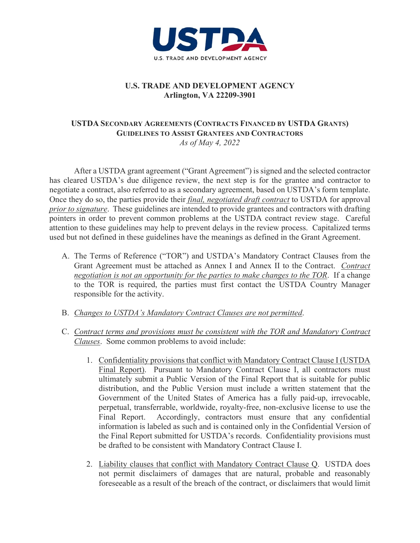

## **U.S. TRADE AND DEVELOPMENT AGENCY Arlington, VA 22209-3901**

## **USTDA SECONDARY AGREEMENTS (CONTRACTS FINANCED BY USTDA GRANTS) GUIDELINES TO ASSIST GRANTEES AND CONTRACTORS** *As of May 4, 2022*

After a USTDA grant agreement ("Grant Agreement") is signed and the selected contractor has cleared USTDA's due diligence review, the next step is for the grantee and contractor to negotiate a contract, also referred to as a secondary agreement, based on USTDA's form template. Once they do so, the parties provide their *final, negotiated draft contract* to USTDA for approval *prior to signature*. These guidelines are intended to provide grantees and contractors with drafting pointers in order to prevent common problems at the USTDA contract review stage. Careful attention to these guidelines may help to prevent delays in the review process. Capitalized terms used but not defined in these guidelines have the meanings as defined in the Grant Agreement.

- A. The Terms of Reference ("TOR") and USTDA's Mandatory Contract Clauses from the Grant Agreement must be attached as Annex I and Annex II to the Contract. *Contract negotiation is not an opportunity for the parties to make changes to the TOR*. If a change to the TOR is required, the parties must first contact the USTDA Country Manager responsible for the activity.
- B. *Changes to USTDA's Mandatory Contract Clauses are not permitted*.
- C. *Contract terms and provisions must be consistent with the TOR and Mandatory Contract Clauses*. Some common problems to avoid include:
	- 1. Confidentiality provisions that conflict with Mandatory Contract Clause I (USTDA Final Report). Pursuant to Mandatory Contract Clause I, all contractors must ultimately submit a Public Version of the Final Report that is suitable for public distribution, and the Public Version must include a written statement that the Government of the United States of America has a fully paid-up, irrevocable, perpetual, transferrable, worldwide, royalty-free, non-exclusive license to use the Final Report. Accordingly, contractors must ensure that any confidential information is labeled as such and is contained only in the Confidential Version of the Final Report submitted for USTDA's records. Confidentiality provisions must be drafted to be consistent with Mandatory Contract Clause I.
	- 2. Liability clauses that conflict with Mandatory Contract Clause Q. USTDA does not permit disclaimers of damages that are natural, probable and reasonably foreseeable as a result of the breach of the contract, or disclaimers that would limit